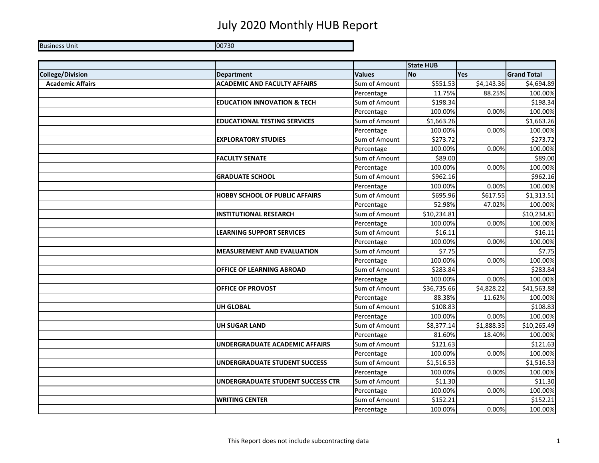## July 2020 Monthly HUB Report

Business Unit 00730

|                         |                                        |               | <b>State HUB</b> |            |                    |
|-------------------------|----------------------------------------|---------------|------------------|------------|--------------------|
| <b>College/Division</b> | <b>Department</b>                      | <b>Values</b> | <b>No</b>        | <b>Yes</b> | <b>Grand Total</b> |
| <b>Academic Affairs</b> | <b>ACADEMIC AND FACULTY AFFAIRS</b>    | Sum of Amount | \$551.53         | \$4,143.36 | \$4,694.89         |
|                         |                                        | Percentage    | 11.75%           | 88.25%     | 100.00%            |
|                         | <b>EDUCATION INNOVATION &amp; TECH</b> | Sum of Amount | \$198.34         |            | \$198.34           |
|                         |                                        | Percentage    | 100.00%          | 0.00%      | 100.00%            |
|                         | <b>EDUCATIONAL TESTING SERVICES</b>    | Sum of Amount | \$1,663.26       |            | \$1,663.26         |
|                         |                                        | Percentage    | 100.00%          | 0.00%      | 100.00%            |
|                         | <b>EXPLORATORY STUDIES</b>             | Sum of Amount | \$273.72         |            | \$273.72           |
|                         |                                        | Percentage    | 100.00%          | 0.00%      | 100.00%            |
|                         | <b>FACULTY SENATE</b>                  | Sum of Amount | \$89.00          |            | \$89.00            |
|                         |                                        | Percentage    | 100.00%          | 0.00%      | 100.00%            |
|                         | <b>GRADUATE SCHOOL</b>                 | Sum of Amount | \$962.16         |            | \$962.16           |
|                         |                                        | Percentage    | 100.00%          | 0.00%      | 100.00%            |
|                         | <b>HOBBY SCHOOL OF PUBLIC AFFAIRS</b>  | Sum of Amount | \$695.96         | \$617.55   | \$1,313.51         |
|                         |                                        | Percentage    | 52.98%           | 47.02%     | 100.00%            |
|                         | <b>INSTITUTIONAL RESEARCH</b>          | Sum of Amount | \$10,234.81      |            | \$10,234.81        |
|                         |                                        | Percentage    | 100.00%          | 0.00%      | 100.00%            |
|                         | <b>LEARNING SUPPORT SERVICES</b>       | Sum of Amount | \$16.11          |            | \$16.11            |
|                         |                                        | Percentage    | 100.00%          | 0.00%      | 100.00%            |
|                         | <b>MEASUREMENT AND EVALUATION</b>      | Sum of Amount | \$7.75           |            | \$7.75             |
|                         |                                        | Percentage    | 100.00%          | 0.00%      | 100.00%            |
|                         | OFFICE OF LEARNING ABROAD              | Sum of Amount | \$283.84         |            | \$283.84           |
|                         |                                        | Percentage    | 100.00%          | 0.00%      | 100.00%            |
|                         | OFFICE OF PROVOST                      | Sum of Amount | \$36,735.66      | \$4,828.22 | \$41,563.88        |
|                         |                                        | Percentage    | 88.38%           | 11.62%     | 100.00%            |
|                         | <b>UH GLOBAL</b>                       | Sum of Amount | \$108.83         |            | \$108.83           |
|                         |                                        | Percentage    | 100.00%          | 0.00%      | 100.00%            |
|                         | <b>UH SUGAR LAND</b>                   | Sum of Amount | \$8,377.14       | \$1,888.35 | \$10,265.49        |
|                         |                                        | Percentage    | 81.60%           | 18.40%     | 100.00%            |
|                         | <b>UNDERGRADUATE ACADEMIC AFFAIRS</b>  | Sum of Amount | \$121.63         |            | \$121.63           |
|                         |                                        | Percentage    | 100.00%          | 0.00%      | 100.00%            |
|                         | UNDERGRADUATE STUDENT SUCCESS          | Sum of Amount | \$1,516.53       |            | \$1,516.53         |
|                         |                                        | Percentage    | 100.00%          | 0.00%      | 100.00%            |
|                         | UNDERGRADUATE STUDENT SUCCESS CTR      | Sum of Amount | \$11.30          |            | \$11.30            |
|                         |                                        | Percentage    | 100.00%          | 0.00%      | 100.00%            |
|                         | <b>WRITING CENTER</b>                  | Sum of Amount | \$152.21         |            | \$152.21           |
|                         |                                        | Percentage    | 100.00%          | 0.00%      | 100.00%            |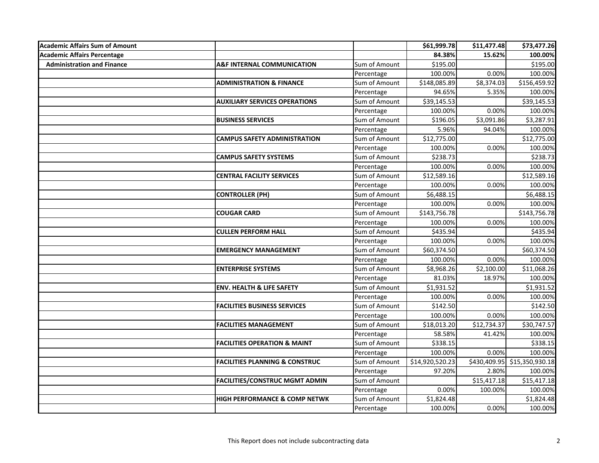| <b>Academic Affairs Sum of Amount</b> |                                           |               | \$61,999.78     | \$11,477.48 | \$73,477.26                  |
|---------------------------------------|-------------------------------------------|---------------|-----------------|-------------|------------------------------|
| Academic Affairs Percentage           |                                           |               | 84.38%          | 15.62%      | 100.00%                      |
| <b>Administration and Finance</b>     | <b>A&amp;F INTERNAL COMMUNICATION</b>     | Sum of Amount | \$195.00        |             | \$195.00                     |
|                                       |                                           | Percentage    | 100.00%         | 0.00%       | 100.00%                      |
|                                       | <b>ADMINISTRATION &amp; FINANCE</b>       | Sum of Amount | \$148,085.89    | \$8,374.03  | \$156,459.92                 |
|                                       |                                           | Percentage    | 94.65%          | 5.35%       | 100.00%                      |
|                                       | <b>AUXILIARY SERVICES OPERATIONS</b>      | Sum of Amount | \$39,145.53     |             | \$39,145.53                  |
|                                       |                                           | Percentage    | 100.00%         | 0.00%       | 100.00%                      |
|                                       | <b>BUSINESS SERVICES</b>                  | Sum of Amount | \$196.05        | \$3,091.86  | \$3,287.91                   |
|                                       |                                           | Percentage    | 5.96%           | 94.04%      | 100.00%                      |
|                                       | <b>CAMPUS SAFETY ADMINISTRATION</b>       | Sum of Amount | \$12,775.00     |             | \$12,775.00                  |
|                                       |                                           | Percentage    | 100.00%         | 0.00%       | 100.00%                      |
|                                       | <b>CAMPUS SAFETY SYSTEMS</b>              | Sum of Amount | \$238.73        |             | \$238.73                     |
|                                       |                                           | Percentage    | 100.00%         | 0.00%       | 100.00%                      |
|                                       | <b>CENTRAL FACILITY SERVICES</b>          | Sum of Amount | \$12,589.16     |             | \$12,589.16                  |
|                                       |                                           | Percentage    | 100.00%         | 0.00%       | 100.00%                      |
|                                       | <b>CONTROLLER (PH)</b>                    | Sum of Amount | \$6,488.15      |             | \$6,488.15                   |
|                                       |                                           | Percentage    | 100.00%         | 0.00%       | 100.00%                      |
|                                       | <b>COUGAR CARD</b>                        | Sum of Amount | \$143,756.78    |             | \$143,756.78                 |
|                                       |                                           | Percentage    | 100.00%         | 0.00%       | 100.00%                      |
|                                       | <b>CULLEN PERFORM HALL</b>                | Sum of Amount | \$435.94        |             | \$435.94                     |
|                                       |                                           | Percentage    | 100.00%         | 0.00%       | 100.00%                      |
|                                       | <b>EMERGENCY MANAGEMENT</b>               | Sum of Amount | \$60,374.50     |             | \$60,374.50                  |
|                                       |                                           | Percentage    | 100.00%         | 0.00%       | 100.00%                      |
|                                       | <b>ENTERPRISE SYSTEMS</b>                 | Sum of Amount | \$8,968.26      | \$2,100.00  | \$11,068.26                  |
|                                       |                                           | Percentage    | 81.03%          | 18.97%      | 100.00%                      |
|                                       | <b>ENV. HEALTH &amp; LIFE SAFETY</b>      | Sum of Amount | \$1,931.52      |             | \$1,931.52                   |
|                                       |                                           | Percentage    | 100.00%         | 0.00%       | 100.00%                      |
|                                       | <b>FACILITIES BUSINESS SERVICES</b>       | Sum of Amount | \$142.50        |             | \$142.50                     |
|                                       |                                           | Percentage    | 100.00%         | 0.00%       | 100.00%                      |
|                                       | <b>FACILITIES MANAGEMENT</b>              | Sum of Amount | \$18,013.20     | \$12,734.37 | \$30,747.57                  |
|                                       |                                           | Percentage    | 58.58%          | 41.42%      | 100.00%                      |
|                                       | <b>FACILITIES OPERATION &amp; MAINT</b>   | Sum of Amount | \$338.15        |             | \$338.15                     |
|                                       |                                           | Percentage    | 100.00%         | 0.00%       | 100.00%                      |
|                                       | <b>FACILITIES PLANNING &amp; CONSTRUC</b> | Sum of Amount | \$14,920,520.23 |             | \$430,409.95 \$15,350,930.18 |
|                                       |                                           | Percentage    | 97.20%          | 2.80%       | 100.00%                      |
|                                       | <b>FACILITIES/CONSTRUC MGMT ADMIN</b>     | Sum of Amount |                 | \$15,417.18 | \$15,417.18                  |
|                                       |                                           | Percentage    | 0.00%           | 100.00%     | 100.00%                      |
|                                       | <b>HIGH PERFORMANCE &amp; COMP NETWK</b>  | Sum of Amount | \$1,824.48      |             | \$1,824.48                   |
|                                       |                                           | Percentage    | 100.00%         | 0.00%       | 100.00%                      |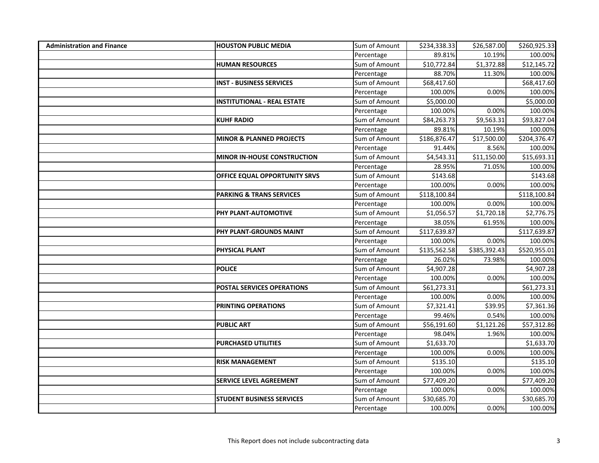| <b>Administration and Finance</b> | <b>HOUSTON PUBLIC MEDIA</b>         | Sum of Amount | \$234,338.33 | \$26,587.00  | \$260,925.33 |
|-----------------------------------|-------------------------------------|---------------|--------------|--------------|--------------|
|                                   |                                     | Percentage    | 89.81%       | 10.19%       | 100.00%      |
|                                   | <b>HUMAN RESOURCES</b>              | Sum of Amount | \$10,772.84  | \$1,372.88   | \$12,145.72  |
|                                   |                                     | Percentage    | 88.70%       | 11.30%       | 100.00%      |
|                                   | <b>INST - BUSINESS SERVICES</b>     | Sum of Amount | \$68,417.60  |              | \$68,417.60  |
|                                   |                                     | Percentage    | 100.00%      | 0.00%        | 100.00%      |
|                                   | <b>INSTITUTIONAL - REAL ESTATE</b>  | Sum of Amount | \$5,000.00   |              | \$5,000.00   |
|                                   |                                     | Percentage    | 100.00%      | 0.00%        | 100.00%      |
|                                   | <b>KUHF RADIO</b>                   | Sum of Amount | \$84,263.73  | \$9,563.31   | \$93,827.04  |
|                                   |                                     | Percentage    | 89.81%       | 10.19%       | 100.00%      |
|                                   | <b>MINOR &amp; PLANNED PROJECTS</b> | Sum of Amount | \$186,876.47 | \$17,500.00  | \$204,376.47 |
|                                   |                                     | Percentage    | 91.44%       | 8.56%        | 100.00%      |
|                                   | <b>MINOR IN-HOUSE CONSTRUCTION</b>  | Sum of Amount | \$4,543.31   | \$11,150.00  | \$15,693.31  |
|                                   |                                     | Percentage    | 28.95%       | 71.05%       | 100.00%      |
|                                   | OFFICE EQUAL OPPORTUNITY SRVS       | Sum of Amount | \$143.68     |              | \$143.68     |
|                                   |                                     | Percentage    | 100.00%      | 0.00%        | 100.00%      |
|                                   | <b>PARKING &amp; TRANS SERVICES</b> | Sum of Amount | \$118,100.84 |              | \$118,100.84 |
|                                   |                                     | Percentage    | 100.00%      | 0.00%        | 100.00%      |
|                                   | PHY PLANT-AUTOMOTIVE                | Sum of Amount | \$1,056.57   | \$1,720.18   | \$2,776.75   |
|                                   |                                     | Percentage    | 38.05%       | 61.95%       | 100.00%      |
|                                   | PHY PLANT-GROUNDS MAINT             | Sum of Amount | \$117,639.87 |              | \$117,639.87 |
|                                   |                                     | Percentage    | 100.00%      | 0.00%        | 100.00%      |
|                                   | PHYSICAL PLANT                      | Sum of Amount | \$135,562.58 | \$385,392.43 | \$520,955.01 |
|                                   |                                     | Percentage    | 26.02%       | 73.98%       | 100.00%      |
|                                   | <b>POLICE</b>                       | Sum of Amount | \$4,907.28   |              | \$4,907.28   |
|                                   |                                     | Percentage    | 100.00%      | 0.00%        | 100.00%      |
|                                   | <b>POSTAL SERVICES OPERATIONS</b>   | Sum of Amount | \$61,273.31  |              | \$61,273.31  |
|                                   |                                     | Percentage    | 100.00%      | 0.00%        | 100.00%      |
|                                   | <b>PRINTING OPERATIONS</b>          | Sum of Amount | \$7,321.41   | \$39.95      | \$7,361.36   |
|                                   |                                     | Percentage    | 99.46%       | 0.54%        | 100.00%      |
|                                   | <b>PUBLIC ART</b>                   | Sum of Amount | \$56,191.60  | \$1,121.26   | \$57,312.86  |
|                                   |                                     | Percentage    | 98.04%       | 1.96%        | 100.00%      |
|                                   | <b>PURCHASED UTILITIES</b>          | Sum of Amount | \$1,633.70   |              | \$1,633.70   |
|                                   |                                     | Percentage    | 100.00%      | 0.00%        | 100.00%      |
|                                   | <b>RISK MANAGEMENT</b>              | Sum of Amount | \$135.10     |              | \$135.10     |
|                                   |                                     | Percentage    | 100.00%      | 0.00%        | 100.00%      |
|                                   | <b>SERVICE LEVEL AGREEMENT</b>      | Sum of Amount | \$77,409.20  |              | \$77,409.20  |
|                                   |                                     | Percentage    | 100.00%      | 0.00%        | 100.00%      |
|                                   | <b>STUDENT BUSINESS SERVICES</b>    | Sum of Amount | \$30,685.70  |              | \$30,685.70  |
|                                   |                                     | Percentage    | 100.00%      | 0.00%        | 100.00%      |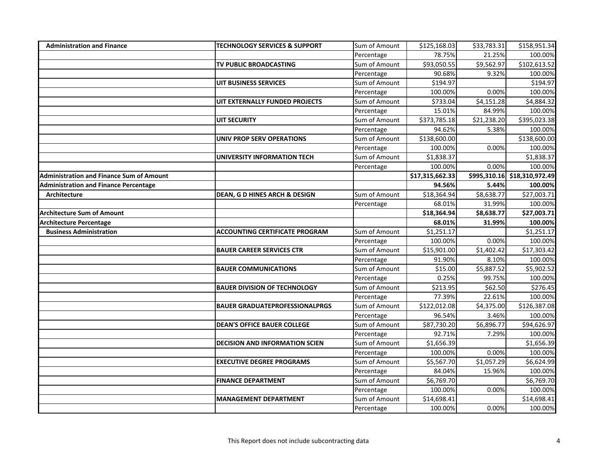| <b>Administration and Finance</b>               | <b>TECHNOLOGY SERVICES &amp; SUPPORT</b> | Sum of Amount | \$125,168.03    | \$33,783.31 | \$158,951.34                 |
|-------------------------------------------------|------------------------------------------|---------------|-----------------|-------------|------------------------------|
|                                                 |                                          | Percentage    | 78.75%          | 21.25%      | 100.00%                      |
|                                                 | TV PUBLIC BROADCASTING                   | Sum of Amount | \$93,050.55     | \$9,562.97  | \$102,613.52                 |
|                                                 |                                          | Percentage    | 90.68%          | 9.32%       | 100.00%                      |
|                                                 | <b>UIT BUSINESS SERVICES</b>             | Sum of Amount | \$194.97        |             | \$194.97                     |
|                                                 |                                          | Percentage    | 100.00%         | 0.00%       | 100.00%                      |
|                                                 | UIT EXTERNALLY FUNDED PROJECTS           | Sum of Amount | \$733.04        | \$4,151.28  | \$4,884.32                   |
|                                                 |                                          | Percentage    | 15.01%          | 84.99%      | 100.00%                      |
|                                                 | <b>UIT SECURITY</b>                      | Sum of Amount | \$373,785.18    | \$21,238.20 | \$395,023.38                 |
|                                                 |                                          | Percentage    | 94.62%          | 5.38%       | 100.00%                      |
|                                                 | <b>UNIV PROP SERV OPERATIONS</b>         | Sum of Amount | \$138,600.00    |             | \$138,600.00                 |
|                                                 |                                          | Percentage    | 100.00%         | 0.00%       | 100.00%                      |
|                                                 | UNIVERSITY INFORMATION TECH              | Sum of Amount | \$1,838.37      |             | \$1,838.37                   |
|                                                 |                                          | Percentage    | 100.00%         | 0.00%       | 100.00%                      |
| <b>Administration and Finance Sum of Amount</b> |                                          |               | \$17,315,662.33 |             | \$995,310.16 \$18,310,972.49 |
| <b>Administration and Finance Percentage</b>    |                                          |               | 94.56%          | 5.44%       | 100.00%                      |
| Architecture                                    | <b>DEAN, G D HINES ARCH &amp; DESIGN</b> | Sum of Amount | \$18,364.94     | \$8,638.77  | \$27,003.71                  |
|                                                 |                                          | Percentage    | 68.01%          | 31.99%      | 100.00%                      |
| <b>Architecture Sum of Amount</b>               |                                          |               | \$18,364.94     | \$8,638.77  | \$27,003.71                  |
| <b>Architecture Percentage</b>                  |                                          |               | 68.01%          | 31.99%      | 100.00%                      |
| <b>Business Administration</b>                  | <b>ACCOUNTING CERTIFICATE PROGRAM</b>    | Sum of Amount | \$1,251.17      |             | \$1,251.17                   |
|                                                 |                                          | Percentage    | 100.00%         | 0.00%       | 100.00%                      |
|                                                 | <b>BAUER CAREER SERVICES CTR</b>         | Sum of Amount | \$15,901.00     | \$1,402.42  | \$17,303.42                  |
|                                                 |                                          | Percentage    | 91.90%          | 8.10%       | 100.00%                      |
|                                                 | <b>BAUER COMMUNICATIONS</b>              | Sum of Amount | \$15.00         | \$5,887.52  | \$5,902.52                   |
|                                                 |                                          | Percentage    | 0.25%           | 99.75%      | 100.00%                      |
|                                                 | <b>BAUER DIVISION OF TECHNOLOGY</b>      | Sum of Amount | \$213.95        | \$62.50     | \$276.45                     |
|                                                 |                                          | Percentage    | 77.39%          | 22.61%      | 100.00%                      |
|                                                 | <b>BAUER GRADUATEPROFESSIONALPRGS</b>    | Sum of Amount | \$122,012.08    | \$4,375.00  | \$126,387.08                 |
|                                                 |                                          | Percentage    | 96.54%          | 3.46%       | 100.00%                      |
|                                                 | <b>DEAN'S OFFICE BAUER COLLEGE</b>       | Sum of Amount | \$87,730.20     | \$6,896.77  | \$94,626.97                  |
|                                                 |                                          | Percentage    | 92.71%          | 7.29%       | 100.00%                      |
|                                                 | <b>DECISION AND INFORMATION SCIEN</b>    | Sum of Amount | \$1,656.39      |             | \$1,656.39                   |
|                                                 |                                          | Percentage    | 100.00%         | 0.00%       | 100.00%                      |
|                                                 | <b>EXECUTIVE DEGREE PROGRAMS</b>         | Sum of Amount | \$5,567.70      | \$1,057.29  | \$6,624.99                   |
|                                                 |                                          | Percentage    | 84.04%          | 15.96%      | 100.00%                      |
|                                                 | <b>FINANCE DEPARTMENT</b>                | Sum of Amount | \$6,769.70      |             | \$6,769.70                   |
|                                                 |                                          | Percentage    | 100.00%         | 0.00%       | 100.00%                      |
|                                                 | <b>MANAGEMENT DEPARTMENT</b>             | Sum of Amount | \$14,698.41     |             | \$14,698.41                  |
|                                                 |                                          | Percentage    | 100.00%         | 0.00%       | 100.00%                      |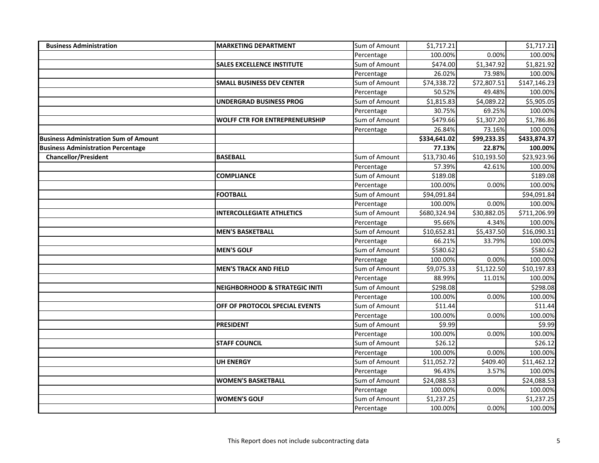| <b>Business Administration</b>               | <b>MARKETING DEPARTMENT</b>               | Sum of Amount | \$1,717.21   |             | \$1,717.21   |
|----------------------------------------------|-------------------------------------------|---------------|--------------|-------------|--------------|
|                                              |                                           | Percentage    | 100.00%      | 0.00%       | 100.00%      |
|                                              | <b>SALES EXCELLENCE INSTITUTE</b>         | Sum of Amount | \$474.00     | \$1,347.92  | \$1,821.92   |
|                                              |                                           | Percentage    | 26.02%       | 73.98%      | 100.00%      |
|                                              | <b>SMALL BUSINESS DEV CENTER</b>          | Sum of Amount | \$74,338.72  | \$72,807.51 | \$147,146.23 |
|                                              |                                           | Percentage    | 50.52%       | 49.48%      | 100.00%      |
|                                              | <b>UNDERGRAD BUSINESS PROG</b>            | Sum of Amount | \$1,815.83   | \$4,089.22  | \$5,905.05   |
|                                              |                                           | Percentage    | 30.75%       | 69.25%      | 100.00%      |
|                                              | <b>WOLFF CTR FOR ENTREPRENEURSHIP</b>     | Sum of Amount | \$479.66     | \$1,307.20  | \$1,786.86   |
|                                              |                                           | Percentage    | 26.84%       | 73.16%      | 100.00%      |
| <b>Business Administration Sum of Amount</b> |                                           |               | \$334,641.02 | \$99,233.35 | \$433,874.37 |
| <b>Business Administration Percentage</b>    |                                           |               | 77.13%       | 22.87%      | 100.00%      |
| <b>Chancellor/President</b>                  | <b>BASEBALL</b>                           | Sum of Amount | \$13,730.46  | \$10,193.50 | \$23,923.96  |
|                                              |                                           | Percentage    | 57.39%       | 42.61%      | 100.00%      |
|                                              | <b>COMPLIANCE</b>                         | Sum of Amount | \$189.08     |             | \$189.08     |
|                                              |                                           | Percentage    | 100.00%      | 0.00%       | 100.00%      |
|                                              | <b>FOOTBALL</b>                           | Sum of Amount | \$94,091.84  |             | \$94,091.84  |
|                                              |                                           | Percentage    | 100.00%      | 0.00%       | 100.00%      |
|                                              | <b>INTERCOLLEGIATE ATHLETICS</b>          | Sum of Amount | \$680,324.94 | \$30,882.05 | \$711,206.99 |
|                                              |                                           | Percentage    | 95.66%       | 4.34%       | 100.00%      |
|                                              | <b>MEN'S BASKETBALL</b>                   | Sum of Amount | \$10,652.81  | \$5,437.50  | \$16,090.31  |
|                                              |                                           | Percentage    | 66.21%       | 33.79%      | 100.00%      |
|                                              | <b>MEN'S GOLF</b>                         | Sum of Amount | \$580.62     |             | \$580.62     |
|                                              |                                           | Percentage    | 100.00%      | 0.00%       | 100.00%      |
|                                              | <b>MEN'S TRACK AND FIELD</b>              | Sum of Amount | \$9,075.33   | \$1,122.50  | \$10,197.83  |
|                                              |                                           | Percentage    | 88.99%       | 11.01%      | 100.00%      |
|                                              | <b>NEIGHBORHOOD &amp; STRATEGIC INITI</b> | Sum of Amount | \$298.08     |             | \$298.08     |
|                                              |                                           | Percentage    | 100.00%      | 0.00%       | 100.00%      |
|                                              | OFF OF PROTOCOL SPECIAL EVENTS            | Sum of Amount | \$11.44      |             | \$11.44      |
|                                              |                                           | Percentage    | 100.00%      | 0.00%       | 100.00%      |
|                                              | <b>PRESIDENT</b>                          | Sum of Amount | \$9.99       |             | \$9.99       |
|                                              |                                           | Percentage    | 100.00%      | 0.00%       | 100.00%      |
|                                              | <b>STAFF COUNCIL</b>                      | Sum of Amount | \$26.12      |             | \$26.12      |
|                                              |                                           | Percentage    | 100.00%      | 0.00%       | 100.00%      |
|                                              | <b>UH ENERGY</b>                          | Sum of Amount | \$11,052.72  | \$409.40    | \$11,462.12  |
|                                              |                                           | Percentage    | 96.43%       | 3.57%       | 100.00%      |
|                                              | <b>WOMEN'S BASKETBALL</b>                 | Sum of Amount | \$24,088.53  |             | \$24,088.53  |
|                                              |                                           | Percentage    | 100.00%      | 0.00%       | 100.00%      |
|                                              | <b>WOMEN'S GOLF</b>                       | Sum of Amount | \$1,237.25   |             | \$1,237.25   |
|                                              |                                           | Percentage    | 100.00%      | 0.00%       | 100.00%      |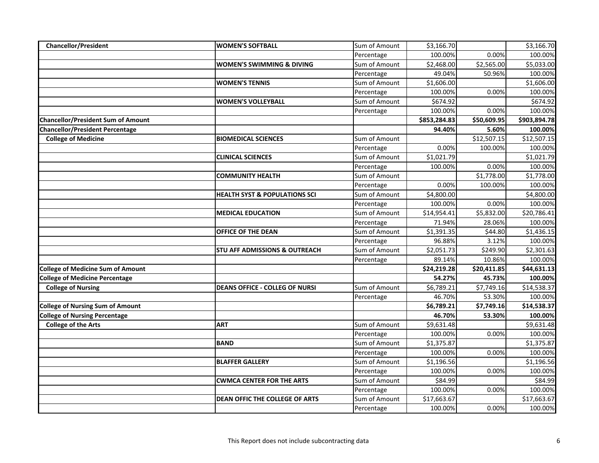| <b>Chancellor/President</b>               | <b>WOMEN'S SOFTBALL</b>                  | Sum of Amount | \$3,166.70   |             | \$3,166.70   |
|-------------------------------------------|------------------------------------------|---------------|--------------|-------------|--------------|
|                                           |                                          | Percentage    | 100.00%      | 0.00%       | 100.00%      |
|                                           | <b>WOMEN'S SWIMMING &amp; DIVING</b>     | Sum of Amount | \$2,468.00   | \$2,565.00  | \$5,033.00   |
|                                           |                                          | Percentage    | 49.04%       | 50.96%      | 100.00%      |
|                                           | <b>WOMEN'S TENNIS</b>                    | Sum of Amount | \$1,606.00   |             | \$1,606.00   |
|                                           |                                          | Percentage    | 100.00%      | 0.00%       | 100.00%      |
|                                           | <b>WOMEN'S VOLLEYBALL</b>                | Sum of Amount | \$674.92     |             | \$674.92     |
|                                           |                                          | Percentage    | 100.00%      | 0.00%       | 100.00%      |
| <b>Chancellor/President Sum of Amount</b> |                                          |               | \$853,284.83 | \$50,609.95 | \$903,894.78 |
| <b>Chancellor/President Percentage</b>    |                                          |               | 94.40%       | 5.60%       | 100.00%      |
| <b>College of Medicine</b>                | <b>BIOMEDICAL SCIENCES</b>               | Sum of Amount |              | \$12,507.15 | \$12,507.15  |
|                                           |                                          | Percentage    | 0.00%        | 100.00%     | 100.00%      |
|                                           | <b>CLINICAL SCIENCES</b>                 | Sum of Amount | \$1,021.79   |             | \$1,021.79   |
|                                           |                                          | Percentage    | 100.00%      | 0.00%       | 100.00%      |
|                                           | <b>COMMUNITY HEALTH</b>                  | Sum of Amount |              | \$1,778.00  | \$1,778.00   |
|                                           |                                          | Percentage    | 0.00%        | 100.00%     | 100.00%      |
|                                           | <b>HEALTH SYST &amp; POPULATIONS SCI</b> | Sum of Amount | \$4,800.00   |             | \$4,800.00   |
|                                           |                                          | Percentage    | 100.00%      | 0.00%       | 100.00%      |
|                                           | <b>MEDICAL EDUCATION</b>                 | Sum of Amount | \$14,954.41  | \$5,832.00  | \$20,786.41  |
|                                           |                                          | Percentage    | 71.94%       | 28.06%      | 100.00%      |
|                                           | OFFICE OF THE DEAN                       | Sum of Amount | \$1,391.35   | \$44.80     | \$1,436.15   |
|                                           |                                          | Percentage    | 96.88%       | 3.12%       | 100.00%      |
|                                           | <b>STU AFF ADMISSIONS &amp; OUTREACH</b> | Sum of Amount | \$2,051.73   | \$249.90    | \$2,301.63   |
|                                           |                                          | Percentage    | 89.14%       | 10.86%      | 100.00%      |
| <b>College of Medicine Sum of Amount</b>  |                                          |               | \$24,219.28  | \$20,411.85 | \$44,631.13  |
| <b>College of Medicine Percentage</b>     |                                          |               | 54.27%       | 45.73%      | 100.00%      |
| <b>College of Nursing</b>                 | <b>DEANS OFFICE - COLLEG OF NURSI</b>    | Sum of Amount | \$6,789.21   | \$7,749.16  | \$14,538.37  |
|                                           |                                          | Percentage    | 46.70%       | 53.30%      | 100.00%      |
| <b>College of Nursing Sum of Amount</b>   |                                          |               | \$6,789.21   | \$7,749.16  | \$14,538.37  |
| <b>College of Nursing Percentage</b>      |                                          |               | 46.70%       | 53.30%      | 100.00%      |
| <b>College of the Arts</b>                | <b>ART</b>                               | Sum of Amount | \$9,631.48   |             | \$9,631.48   |
|                                           |                                          | Percentage    | 100.00%      | 0.00%       | 100.00%      |
|                                           | <b>BAND</b>                              | Sum of Amount | \$1,375.87   |             | \$1,375.87   |
|                                           |                                          | Percentage    | 100.00%      | 0.00%       | 100.00%      |
|                                           | <b>BLAFFER GALLERY</b>                   | Sum of Amount | \$1,196.56   |             | \$1,196.56   |
|                                           |                                          | Percentage    | 100.00%      | 0.00%       | 100.00%      |
|                                           | <b>CWMCA CENTER FOR THE ARTS</b>         | Sum of Amount | \$84.99      |             | \$84.99      |
|                                           |                                          | Percentage    | 100.00%      | 0.00%       | 100.00%      |
|                                           | DEAN OFFIC THE COLLEGE OF ARTS           | Sum of Amount | \$17,663.67  |             | \$17,663.67  |
|                                           |                                          | Percentage    | 100.00%      | 0.00%       | 100.00%      |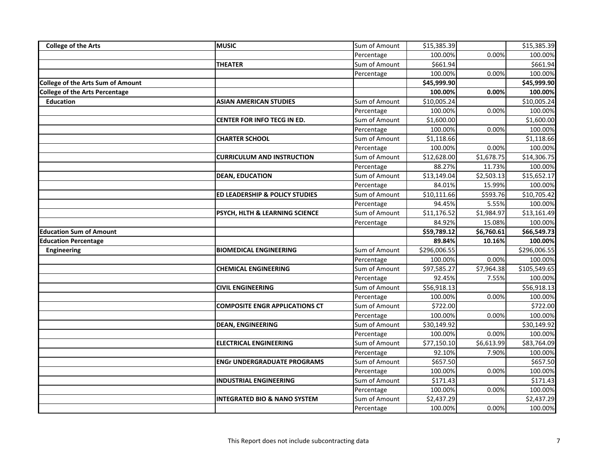| <b>College of the Arts</b>               | <b>MUSIC</b>                            | Sum of Amount | \$15,385.39           |            | \$15,385.39           |
|------------------------------------------|-----------------------------------------|---------------|-----------------------|------------|-----------------------|
|                                          |                                         | Percentage    | 100.00%               | 0.00%      | 100.00%               |
|                                          | <b>THEATER</b>                          | Sum of Amount | \$661.94              |            | \$661.94              |
|                                          |                                         | Percentage    | 100.00%               | 0.00%      | 100.00%               |
| <b>College of the Arts Sum of Amount</b> |                                         |               | \$45,999.90           |            | \$45,999.90           |
| <b>College of the Arts Percentage</b>    |                                         |               | 100.00%               | 0.00%      | 100.00%               |
| <b>Education</b>                         | <b>ASIAN AMERICAN STUDIES</b>           | Sum of Amount | \$10,005.24           |            | \$10,005.24           |
|                                          |                                         | Percentage    | 100.00%               | 0.00%      | 100.00%               |
|                                          | <b>CENTER FOR INFO TECG IN ED.</b>      | Sum of Amount | \$1,600.00            |            | \$1,600.00            |
|                                          |                                         | Percentage    | 100.00%               | 0.00%      | 100.00%               |
|                                          | <b>CHARTER SCHOOL</b>                   | Sum of Amount | \$1,118.66            |            | \$1,118.66            |
|                                          |                                         | Percentage    | 100.00%               | 0.00%      | 100.00%               |
|                                          | <b>CURRICULUM AND INSTRUCTION</b>       | Sum of Amount | \$12,628.00           | \$1,678.75 | \$14,306.75           |
|                                          |                                         | Percentage    | 88.27%                | 11.73%     | 100.00%               |
|                                          | <b>DEAN, EDUCATION</b>                  | Sum of Amount | \$13,149.04           | \$2,503.13 | \$15,652.17           |
|                                          |                                         | Percentage    | 84.01%                | 15.99%     | 100.00%               |
|                                          | ED LEADERSHIP & POLICY STUDIES          | Sum of Amount | \$10,111.66           | \$593.76   | \$10,705.42           |
|                                          |                                         | Percentage    | 94.45%                | 5.55%      | 100.00%               |
|                                          | PSYCH, HLTH & LEARNING SCIENCE          | Sum of Amount | \$11,176.52           | \$1,984.97 | \$13,161.49           |
|                                          |                                         | Percentage    | 84.92%                | 15.08%     | 100.00%               |
|                                          |                                         |               |                       |            |                       |
| <b>Education Sum of Amount</b>           |                                         |               | \$59,789.12           | \$6,760.61 | \$66,549.73           |
| <b>Education Percentage</b>              |                                         |               | 89.84%                | 10.16%     | 100.00%               |
| Engineering                              | <b>BIOMEDICAL ENGINEERING</b>           | Sum of Amount | \$296,006.55          |            | \$296,006.55          |
|                                          |                                         | Percentage    | 100.00%               | 0.00%      | 100.00%               |
|                                          | <b>CHEMICAL ENGINEERING</b>             | Sum of Amount | \$97,585.27           | \$7,964.38 | \$105,549.65          |
|                                          |                                         | Percentage    | 92.45%                | 7.55%      | 100.00%               |
|                                          | <b>CIVIL ENGINEERING</b>                | Sum of Amount | \$56,918.13           |            | \$56,918.13           |
|                                          |                                         | Percentage    | 100.00%               | 0.00%      | 100.00%               |
|                                          | <b>COMPOSITE ENGR APPLICATIONS CT</b>   | Sum of Amount | \$722.00              |            | \$722.00              |
|                                          |                                         | Percentage    | 100.00%               | 0.00%      | 100.00%               |
|                                          | <b>DEAN, ENGINEERING</b>                | Sum of Amount | \$30,149.92           |            | \$30,149.92           |
|                                          |                                         | Percentage    | 100.00%               | 0.00%      | 100.00%               |
|                                          | <b>ELECTRICAL ENGINEERING</b>           | Sum of Amount | \$77,150.10           | \$6,613.99 | \$83,764.09           |
|                                          |                                         | Percentage    | 92.10%                | 7.90%      | 100.00%               |
|                                          | <b>ENGr UNDERGRADUATE PROGRAMS</b>      | Sum of Amount | \$657.50              |            | \$657.50              |
|                                          |                                         | Percentage    | 100.00%               | 0.00%      | 100.00%               |
|                                          | <b>INDUSTRIAL ENGINEERING</b>           | Sum of Amount | \$171.43              |            | \$171.43              |
|                                          |                                         | Percentage    | 100.00%               | 0.00%      | 100.00%               |
|                                          | <b>INTEGRATED BIO &amp; NANO SYSTEM</b> | Sum of Amount | \$2,437.29<br>100.00% |            | \$2,437.29<br>100.00% |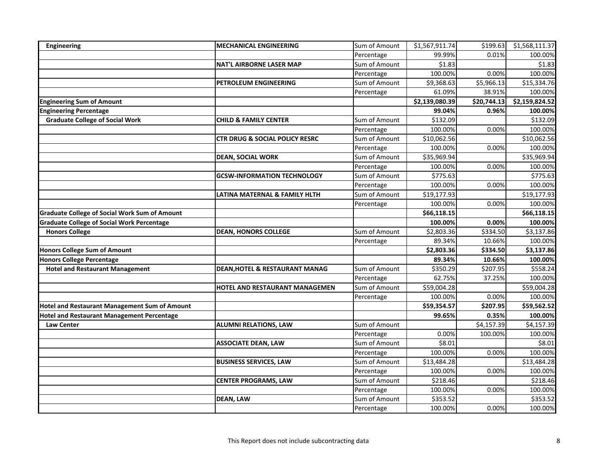| <b>Engineering</b>                                   | <b>MECHANICAL ENGINEERING</b>             | Sum of Amount | \$1,567,911.74 | \$199.63    | \$1,568,111.37 |
|------------------------------------------------------|-------------------------------------------|---------------|----------------|-------------|----------------|
|                                                      |                                           | Percentage    | 99.99%         | 0.01%       | 100.00%        |
|                                                      | <b>NAT'L AIRBORNE LASER MAP</b>           | Sum of Amount | \$1.83         |             | \$1.83         |
|                                                      |                                           | Percentage    | 100.00%        | 0.00%       | 100.00%        |
|                                                      | PETROLEUM ENGINEERING                     | Sum of Amount | \$9,368.63     | \$5,966.13  | \$15,334.76    |
|                                                      |                                           | Percentage    | 61.09%         | 38.91%      | 100.00%        |
| <b>Engineering Sum of Amount</b>                     |                                           |               | \$2,139,080.39 | \$20,744.13 | \$2,159,824.52 |
| <b>Engineering Percentage</b>                        |                                           |               | 99.04%         | 0.96%       | 100.00%        |
| <b>Graduate College of Social Work</b>               | <b>CHILD &amp; FAMILY CENTER</b>          | Sum of Amount | \$132.09       |             | \$132.09       |
|                                                      |                                           | Percentage    | 100.00%        | 0.00%       | 100.00%        |
|                                                      | <b>CTR DRUG &amp; SOCIAL POLICY RESRC</b> | Sum of Amount | \$10,062.56    |             | \$10,062.56    |
|                                                      |                                           | Percentage    | 100.00%        | 0.00%       | 100.00%        |
|                                                      | <b>DEAN, SOCIAL WORK</b>                  | Sum of Amount | \$35,969.94    |             | \$35,969.94    |
|                                                      |                                           | Percentage    | 100.00%        | 0.00%       | 100.00%        |
|                                                      | <b>GCSW-INFORMATION TECHNOLOGY</b>        | Sum of Amount | \$775.63       |             | \$775.63       |
|                                                      |                                           | Percentage    | 100.00%        | 0.00%       | 100.00%        |
|                                                      | LATINA MATERNAL & FAMILY HLTH             | Sum of Amount | \$19,177.93    |             | \$19,177.93    |
|                                                      |                                           | Percentage    | 100.00%        | 0.00%       | 100.00%        |
| <b>Graduate College of Social Work Sum of Amount</b> |                                           |               | \$66,118.15    |             | \$66,118.15    |
| <b>Graduate College of Social Work Percentage</b>    |                                           |               | 100.00%        | 0.00%       | 100.00%        |
| <b>Honors College</b>                                | <b>DEAN, HONORS COLLEGE</b>               | Sum of Amount | \$2,803.36     | \$334.50    | \$3,137.86     |
|                                                      |                                           | Percentage    | 89.34%         | 10.66%      | 100.00%        |
| <b>Honors College Sum of Amount</b>                  |                                           |               | \$2,803.36     | \$334.50    | \$3,137.86     |
| <b>Honors College Percentage</b>                     |                                           |               | 89.34%         | 10.66%      | 100.00%        |
| <b>Hotel and Restaurant Management</b>               | <b>DEAN, HOTEL &amp; RESTAURANT MANAG</b> | Sum of Amount | \$350.29       | \$207.95    | \$558.24       |
|                                                      |                                           | Percentage    | 62.75%         | 37.25%      | 100.00%        |
|                                                      | HOTEL AND RESTAURANT MANAGEMEN            | Sum of Amount | \$59,004.28    |             | \$59,004.28    |
|                                                      |                                           | Percentage    | 100.00%        | 0.00%       | 100.00%        |
| Hotel and Restaurant Management Sum of Amount        |                                           |               | \$59,354.57    | \$207.95    | \$59,562.52    |
| <b>Hotel and Restaurant Management Percentage</b>    |                                           |               | 99.65%         | 0.35%       | 100.00%        |
| <b>Law Center</b>                                    | <b>ALUMNI RELATIONS, LAW</b>              | Sum of Amount |                | \$4,157.39  | \$4,157.39     |
|                                                      |                                           | Percentage    | 0.00%          | 100.00%     | 100.00%        |
|                                                      | <b>ASSOCIATE DEAN, LAW</b>                | Sum of Amount | \$8.01         |             | \$8.01         |
|                                                      |                                           | Percentage    | 100.00%        | 0.00%       | 100.00%        |
|                                                      | <b>BUSINESS SERVICES, LAW</b>             | Sum of Amount | \$13,484.28    |             | \$13,484.28    |
|                                                      |                                           | Percentage    | 100.00%        | 0.00%       | 100.00%        |
|                                                      | <b>CENTER PROGRAMS, LAW</b>               | Sum of Amount | \$218.46       |             | \$218.46       |
|                                                      |                                           | Percentage    | 100.00%        | 0.00%       | 100.00%        |
|                                                      | <b>DEAN, LAW</b>                          | Sum of Amount | \$353.52       |             | \$353.52       |
|                                                      |                                           | Percentage    | 100.00%        | 0.00%       | 100.00%        |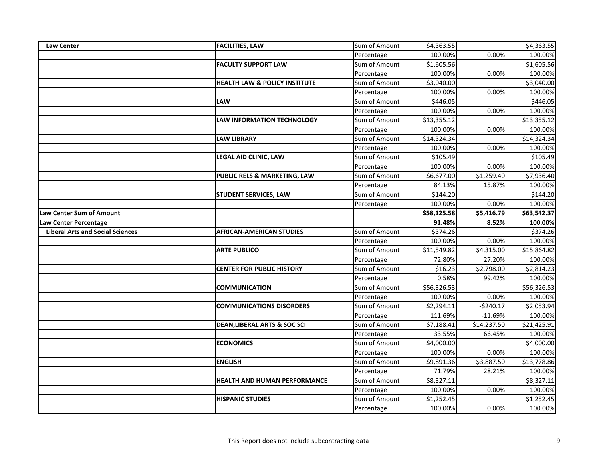| <b>Law Center</b>                       | <b>FACILITIES, LAW</b>                   | Sum of Amount | \$4,363.55  |             | \$4,363.55            |
|-----------------------------------------|------------------------------------------|---------------|-------------|-------------|-----------------------|
|                                         |                                          | Percentage    | 100.00%     | 0.00%       | 100.00%               |
|                                         | <b>FACULTY SUPPORT LAW</b>               | Sum of Amount | \$1,605.56  |             | \$1,605.56            |
|                                         |                                          | Percentage    | 100.00%     | 0.00%       | 100.00%               |
|                                         | <b>HEALTH LAW &amp; POLICY INSTITUTE</b> | Sum of Amount | \$3,040.00  |             | \$3,040.00            |
|                                         |                                          | Percentage    | 100.00%     | 0.00%       | 100.00%               |
|                                         | LAW                                      | Sum of Amount | \$446.05    |             | \$446.05              |
|                                         |                                          | Percentage    | 100.00%     | 0.00%       | 100.00%               |
|                                         | <b>LAW INFORMATION TECHNOLOGY</b>        | Sum of Amount | \$13,355.12 |             | \$13,355.12           |
|                                         |                                          | Percentage    | 100.00%     | 0.00%       | 100.00%               |
|                                         | <b>LAW LIBRARY</b>                       | Sum of Amount | \$14,324.34 |             | \$14,324.34           |
|                                         |                                          | Percentage    | 100.00%     | 0.00%       | 100.00%               |
|                                         | LEGAL AID CLINIC, LAW                    | Sum of Amount | \$105.49    |             | \$105.49              |
|                                         |                                          | Percentage    | 100.00%     | 0.00%       | 100.00%               |
|                                         | PUBLIC RELS & MARKETING, LAW             | Sum of Amount | \$6,677.00  | \$1,259.40  | \$7,936.40            |
|                                         |                                          | Percentage    | 84.13%      | 15.87%      | 100.00%               |
|                                         | <b>STUDENT SERVICES, LAW</b>             | Sum of Amount | \$144.20    |             | \$144.20              |
|                                         |                                          | Percentage    | 100.00%     | 0.00%       | 100.00%               |
| <b>Law Center Sum of Amount</b>         |                                          |               | \$58,125.58 | \$5,416.79  | \$63,542.37           |
| <b>Law Center Percentage</b>            |                                          |               | 91.48%      | 8.52%       | 100.00%               |
| <b>Liberal Arts and Social Sciences</b> | <b>AFRICAN-AMERICAN STUDIES</b>          | Sum of Amount | \$374.26    |             | \$374.26              |
|                                         |                                          | Percentage    | 100.00%     | 0.00%       | 100.00%               |
|                                         | <b>ARTE PUBLICO</b>                      | Sum of Amount | \$11,549.82 | \$4,315.00  | \$15,864.82           |
|                                         |                                          | Percentage    | 72.80%      | 27.20%      | 100.00%               |
|                                         | <b>CENTER FOR PUBLIC HISTORY</b>         | Sum of Amount | \$16.23     | \$2,798.00  | \$2,814.23            |
|                                         |                                          | Percentage    | 0.58%       | 99.42%      | 100.00%               |
|                                         | <b>COMMUNICATION</b>                     | Sum of Amount | \$56,326.53 |             | \$56,326.53           |
|                                         |                                          | Percentage    | 100.00%     | 0.00%       | 100.00%               |
|                                         | <b>COMMUNICATIONS DISORDERS</b>          | Sum of Amount | \$2,294.11  | $-5240.17$  | \$2,053.94            |
|                                         |                                          | Percentage    | 111.69%     | $-11.69%$   | 100.00%               |
|                                         | <b>DEAN, LIBERAL ARTS &amp; SOC SCI</b>  | Sum of Amount | \$7,188.41  | \$14,237.50 | \$21,425.91           |
|                                         |                                          | Percentage    | 33.55%      | 66.45%      | 100.00%               |
|                                         | <b>ECONOMICS</b>                         | Sum of Amount | \$4,000.00  |             | \$4,000.00            |
|                                         |                                          | Percentage    | 100.00%     | 0.00%       | 100.00%               |
|                                         | <b>ENGLISH</b>                           | Sum of Amount | \$9,891.36  | \$3,887.50  | \$13,778.86           |
|                                         |                                          | Percentage    | 71.79%      | 28.21%      | 100.00%               |
|                                         | <b>HEALTH AND HUMAN PERFORMANCE</b>      | Sum of Amount | \$8,327.11  |             | \$8,327.11            |
|                                         |                                          | Percentage    | 100.00%     | 0.00%       | 100.00%               |
|                                         | <b>HISPANIC STUDIES</b>                  | Sum of Amount |             |             |                       |
|                                         |                                          | Percentage    | \$1,252.45  | 0.00%       | \$1,252.45<br>100.00% |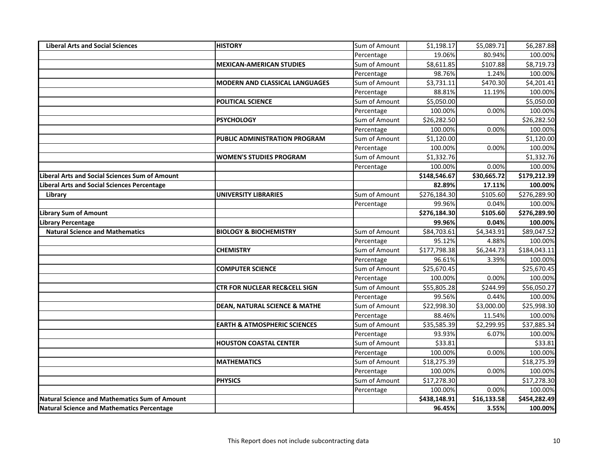| <b>Liberal Arts and Social Sciences</b>               | <b>HISTORY</b>                           | Sum of Amount | \$1,198.17   | \$5,089.71  | \$6,287.88   |
|-------------------------------------------------------|------------------------------------------|---------------|--------------|-------------|--------------|
|                                                       |                                          | Percentage    | 19.06%       | 80.94%      | 100.00%      |
|                                                       | <b>MEXICAN-AMERICAN STUDIES</b>          | Sum of Amount | \$8,611.85   | \$107.88    | \$8,719.73   |
|                                                       |                                          | Percentage    | 98.76%       | 1.24%       | 100.00%      |
|                                                       | <b>MODERN AND CLASSICAL LANGUAGES</b>    | Sum of Amount | \$3,731.11   | \$470.30    | \$4,201.41   |
|                                                       |                                          | Percentage    | 88.81%       | 11.19%      | 100.00%      |
|                                                       | POLITICAL SCIENCE                        | Sum of Amount | \$5,050.00   |             | \$5,050.00   |
|                                                       |                                          | Percentage    | 100.00%      | 0.00%       | 100.00%      |
|                                                       | <b>PSYCHOLOGY</b>                        | Sum of Amount | \$26,282.50  |             | \$26,282.50  |
|                                                       |                                          | Percentage    | 100.00%      | 0.00%       | 100.00%      |
|                                                       | PUBLIC ADMINISTRATION PROGRAM            | Sum of Amount | \$1,120.00   |             | \$1,120.00   |
|                                                       |                                          | Percentage    | 100.00%      | 0.00%       | 100.00%      |
|                                                       | <b>WOMEN'S STUDIES PROGRAM</b>           | Sum of Amount | \$1,332.76   |             | \$1,332.76   |
|                                                       |                                          | Percentage    | 100.00%      | 0.00%       | 100.00%      |
| <b>Liberal Arts and Social Sciences Sum of Amount</b> |                                          |               | \$148,546.67 | \$30,665.72 | \$179,212.39 |
| Liberal Arts and Social Sciences Percentage           |                                          |               | 82.89%       | 17.11%      | 100.00%      |
| Library                                               | <b>UNIVERSITY LIBRARIES</b>              | Sum of Amount | \$276,184.30 | \$105.60    | \$276,289.90 |
|                                                       |                                          | Percentage    | 99.96%       | 0.04%       | 100.00%      |
| <b>Library Sum of Amount</b>                          |                                          |               | \$276,184.30 | \$105.60    | \$276,289.90 |
| <b>Library Percentage</b>                             |                                          |               | 99.96%       | 0.04%       | 100.00%      |
| <b>Natural Science and Mathematics</b>                | <b>BIOLOGY &amp; BIOCHEMISTRY</b>        | Sum of Amount | \$84,703.61  | \$4,343.91  | \$89,047.52  |
|                                                       |                                          | Percentage    | 95.12%       | 4.88%       | 100.00%      |
|                                                       | <b>CHEMISTRY</b>                         | Sum of Amount | \$177,798.38 | \$6,244.73  | \$184,043.11 |
|                                                       |                                          | Percentage    | 96.61%       | 3.39%       | 100.00%      |
|                                                       | <b>COMPUTER SCIENCE</b>                  | Sum of Amount | \$25,670.45  |             | \$25,670.45  |
|                                                       |                                          | Percentage    | 100.00%      | 0.00%       | 100.00%      |
|                                                       | <b>CTR FOR NUCLEAR REC&amp;CELL SIGN</b> | Sum of Amount | \$55,805.28  | \$244.99    | \$56,050.27  |
|                                                       |                                          | Percentage    | 99.56%       | 0.44%       | 100.00%      |
|                                                       | <b>DEAN, NATURAL SCIENCE &amp; MATHE</b> | Sum of Amount | \$22,998.30  | \$3,000.00  | \$25,998.30  |
|                                                       |                                          | Percentage    | 88.46%       | 11.54%      | 100.00%      |
|                                                       | <b>EARTH &amp; ATMOSPHERIC SCIENCES</b>  | Sum of Amount | \$35,585.39  | \$2,299.95  | \$37,885.34  |
|                                                       |                                          | Percentage    | 93.93%       | 6.07%       | 100.00%      |
|                                                       | <b>HOUSTON COASTAL CENTER</b>            | Sum of Amount | \$33.81      |             | \$33.81      |
|                                                       |                                          | Percentage    | 100.00%      | 0.00%       | 100.00%      |
|                                                       | <b>MATHEMATICS</b>                       | Sum of Amount | \$18,275.39  |             | \$18,275.39  |
|                                                       |                                          | Percentage    | 100.00%      | 0.00%       | 100.00%      |
|                                                       | <b>PHYSICS</b>                           | Sum of Amount | \$17,278.30  |             | \$17,278.30  |
|                                                       |                                          | Percentage    | 100.00%      | 0.00%       | 100.00%      |
| Natural Science and Mathematics Sum of Amount         |                                          |               | \$438,148.91 | \$16,133.58 | \$454,282.49 |
| <b>Natural Science and Mathematics Percentage</b>     |                                          |               | 96.45%       | 3.55%       | 100.00%      |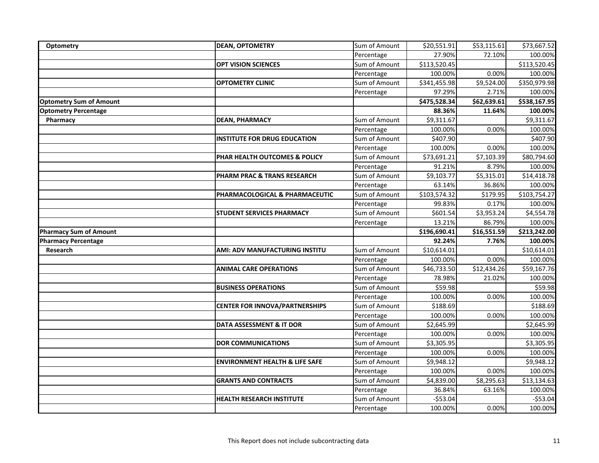| Optometry                      | <b>DEAN, OPTOMETRY</b>                    | Sum of Amount | \$20,551.91  | \$53,115.61            | \$73,667.52          |
|--------------------------------|-------------------------------------------|---------------|--------------|------------------------|----------------------|
|                                |                                           | Percentage    | 27.90%       | 72.10%                 | 100.00%              |
|                                | <b>OPT VISION SCIENCES</b>                | Sum of Amount | \$113,520.45 |                        | \$113,520.45         |
|                                |                                           | Percentage    | 100.00%      | 0.00%                  | 100.00%              |
|                                | <b>OPTOMETRY CLINIC</b>                   | Sum of Amount | \$341,455.98 | $\overline{$9,524.00}$ | \$350,979.98         |
|                                |                                           | Percentage    | 97.29%       | 2.71%                  | 100.00%              |
| <b>Optometry Sum of Amount</b> |                                           |               | \$475,528.34 | \$62,639.61            | \$538,167.95         |
| <b>Optometry Percentage</b>    |                                           |               | 88.36%       | 11.64%                 | 100.00%              |
| Pharmacy                       | <b>DEAN, PHARMACY</b>                     | Sum of Amount | \$9,311.67   |                        | \$9,311.67           |
|                                |                                           | Percentage    | 100.00%      | 0.00%                  | 100.00%              |
|                                | <b>INSTITUTE FOR DRUG EDUCATION</b>       | Sum of Amount | \$407.90     |                        | \$407.90             |
|                                |                                           | Percentage    | 100.00%      | 0.00%                  | 100.00%              |
|                                | PHAR HEALTH OUTCOMES & POLICY             | Sum of Amount | \$73,691.21  | \$7,103.39             | \$80,794.60          |
|                                |                                           | Percentage    | 91.21%       | 8.79%                  | 100.00%              |
|                                | PHARM PRAC & TRANS RESEARCH               | Sum of Amount | \$9,103.77   | \$5,315.01             | \$14,418.78          |
|                                |                                           | Percentage    | 63.14%       | 36.86%                 | 100.00%              |
|                                | PHARMACOLOGICAL & PHARMACEUTIC            | Sum of Amount | \$103,574.32 | \$179.95               | \$103,754.27         |
|                                |                                           | Percentage    | 99.83%       | 0.17%                  | 100.00%              |
|                                | <b>STUDENT SERVICES PHARMACY</b>          | Sum of Amount | \$601.54     | \$3,953.24             | \$4,554.78           |
|                                |                                           | Percentage    | 13.21%       | 86.79%                 | 100.00%              |
|                                |                                           |               |              |                        |                      |
| <b>Pharmacy Sum of Amount</b>  |                                           |               | \$196,690.41 | \$16,551.59            | \$213,242.00         |
| <b>Pharmacy Percentage</b>     |                                           |               | 92.24%       | 7.76%                  | 100.00%              |
| Research                       | AMI: ADV MANUFACTURING INSTITU            | Sum of Amount | \$10,614.01  |                        | \$10,614.01          |
|                                |                                           | Percentage    | 100.00%      | 0.00%                  | 100.00%              |
|                                | <b>ANIMAL CARE OPERATIONS</b>             | Sum of Amount | \$46,733.50  | \$12,434.26            | \$59,167.76          |
|                                |                                           | Percentage    | 78.98%       | 21.02%                 | 100.00%              |
|                                | <b>BUSINESS OPERATIONS</b>                | Sum of Amount | \$59.98      |                        | \$59.98              |
|                                |                                           | Percentage    | 100.00%      | 0.00%                  | 100.00%              |
|                                | <b>CENTER FOR INNOVA/PARTNERSHIPS</b>     | Sum of Amount | \$188.69     |                        | \$188.69             |
|                                |                                           | Percentage    | 100.00%      | 0.00%                  | 100.00%              |
|                                | DATA ASSESSMENT & IT DOR                  | Sum of Amount | \$2,645.99   |                        | \$2,645.99           |
|                                |                                           | Percentage    | 100.00%      | 0.00%                  | 100.00%              |
|                                | <b>DOR COMMUNICATIONS</b>                 | Sum of Amount | \$3,305.95   |                        | \$3,305.95           |
|                                |                                           | Percentage    | 100.00%      | 0.00%                  | 100.00%              |
|                                | <b>ENVIRONMENT HEALTH &amp; LIFE SAFE</b> | Sum of Amount | \$9,948.12   |                        | \$9,948.12           |
|                                |                                           | Percentage    | 100.00%      | 0.00%                  | 100.00%              |
|                                | <b>GRANTS AND CONTRACTS</b>               | Sum of Amount | \$4,839.00   | \$8,295.63             | \$13,134.63          |
|                                |                                           | Percentage    | 36.84%       | 63.16%                 | 100.00%              |
|                                | <b>HEALTH RESEARCH INSTITUTE</b>          | Sum of Amount | $-553.04$    |                        | $-$53.04$<br>100.00% |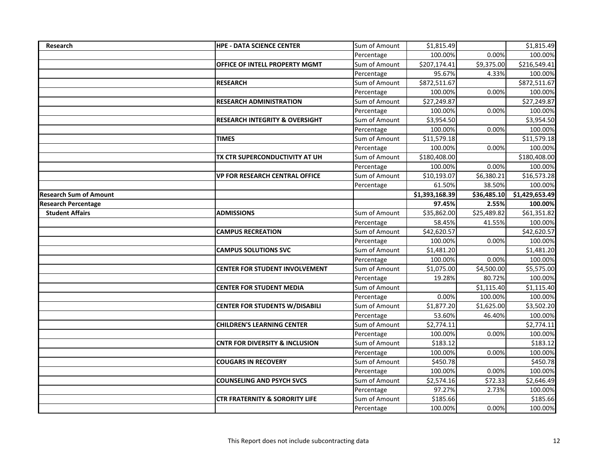| Research                      | <b>HPE - DATA SCIENCE CENTER</b>          | Sum of Amount | \$1,815.49     |             | \$1,815.49     |
|-------------------------------|-------------------------------------------|---------------|----------------|-------------|----------------|
|                               |                                           | Percentage    | 100.00%        | 0.00%       | 100.00%        |
|                               | <b>OFFICE OF INTELL PROPERTY MGMT</b>     | Sum of Amount | \$207,174.41   | \$9,375.00  | \$216,549.41   |
|                               |                                           | Percentage    | 95.67%         | 4.33%       | 100.00%        |
|                               | <b>RESEARCH</b>                           | Sum of Amount | \$872,511.67   |             | \$872,511.67   |
|                               |                                           | Percentage    | 100.00%        | 0.00%       | 100.00%        |
|                               | <b>RESEARCH ADMINISTRATION</b>            | Sum of Amount | \$27,249.87    |             | \$27,249.87    |
|                               |                                           | Percentage    | 100.00%        | 0.00%       | 100.00%        |
|                               | <b>RESEARCH INTEGRITY &amp; OVERSIGHT</b> | Sum of Amount | \$3,954.50     |             | \$3,954.50     |
|                               |                                           | Percentage    | 100.00%        | 0.00%       | 100.00%        |
|                               | <b>TIMES</b>                              | Sum of Amount | \$11,579.18    |             | \$11,579.18    |
|                               |                                           | Percentage    | 100.00%        | 0.00%       | 100.00%        |
|                               | TX CTR SUPERCONDUCTIVITY AT UH            | Sum of Amount | \$180,408.00   |             | \$180,408.00   |
|                               |                                           | Percentage    | 100.00%        | 0.00%       | 100.00%        |
|                               | <b>VP FOR RESEARCH CENTRAL OFFICE</b>     | Sum of Amount | \$10,193.07    | \$6,380.21  | \$16,573.28    |
|                               |                                           | Percentage    | 61.50%         | 38.50%      | 100.00%        |
| <b>Research Sum of Amount</b> |                                           |               | \$1,393,168.39 | \$36,485.10 | \$1,429,653.49 |
| <b>Research Percentage</b>    |                                           |               | 97.45%         | 2.55%       | 100.00%        |
| <b>Student Affairs</b>        | <b>ADMISSIONS</b>                         | Sum of Amount | \$35,862.00    | \$25,489.82 | \$61,351.82    |
|                               |                                           | Percentage    | 58.45%         | 41.55%      | 100.00%        |
|                               | <b>CAMPUS RECREATION</b>                  | Sum of Amount | \$42,620.57    |             | \$42,620.57    |
|                               |                                           | Percentage    | 100.00%        | 0.00%       | 100.00%        |
|                               | <b>CAMPUS SOLUTIONS SVC</b>               | Sum of Amount | \$1,481.20     |             | \$1,481.20     |
|                               |                                           | Percentage    | 100.00%        | 0.00%       | 100.00%        |
|                               | <b>CENTER FOR STUDENT INVOLVEMENT</b>     | Sum of Amount | \$1,075.00     | \$4,500.00  | \$5,575.00     |
|                               |                                           | Percentage    | 19.28%         | 80.72%      | 100.00%        |
|                               | <b>CENTER FOR STUDENT MEDIA</b>           | Sum of Amount |                | \$1,115.40  | \$1,115.40     |
|                               |                                           | Percentage    | 0.00%          | 100.00%     | 100.00%        |
|                               | <b>CENTER FOR STUDENTS W/DISABILI</b>     | Sum of Amount | \$1,877.20     | \$1,625.00  | \$3,502.20     |
|                               |                                           | Percentage    | 53.60%         | 46.40%      | 100.00%        |
|                               | <b>CHILDREN'S LEARNING CENTER</b>         | Sum of Amount | \$2,774.11     |             | \$2,774.11     |
|                               |                                           | Percentage    | 100.00%        | 0.00%       | 100.00%        |
|                               | <b>CNTR FOR DIVERSITY &amp; INCLUSION</b> | Sum of Amount | \$183.12       |             | \$183.12       |
|                               |                                           | Percentage    | 100.00%        | 0.00%       | 100.00%        |
|                               | <b>COUGARS IN RECOVERY</b>                | Sum of Amount | \$450.78       |             | \$450.78       |
|                               |                                           | Percentage    | 100.00%        | 0.00%       | 100.00%        |
|                               | <b>COUNSELING AND PSYCH SVCS</b>          | Sum of Amount | \$2,574.16     | \$72.33     | \$2,646.49     |
|                               |                                           | Percentage    | 97.27%         | 2.73%       | 100.00%        |
|                               | <b>CTR FRATERNITY &amp; SORORITY LIFE</b> | Sum of Amount | \$185.66       |             | \$185.66       |
|                               |                                           | Percentage    | 100.00%        | 0.00%       | 100.00%        |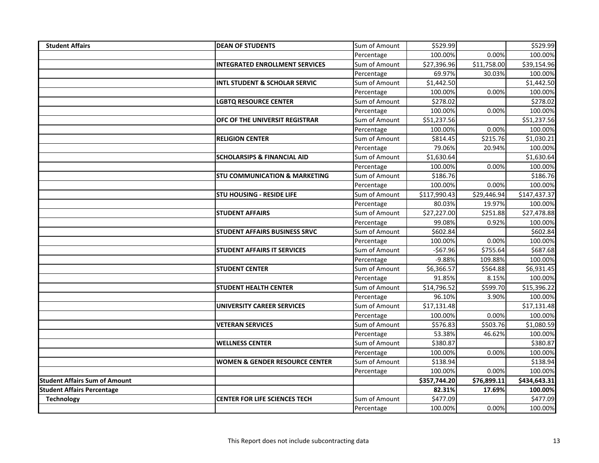| <b>Student Affairs</b>               | <b>DEAN OF STUDENTS</b>                   | Sum of Amount | \$529.99               |             | 5529.99      |
|--------------------------------------|-------------------------------------------|---------------|------------------------|-------------|--------------|
|                                      |                                           | Percentage    | 100.00%                | 0.00%       | 100.00%      |
|                                      | <b>INTEGRATED ENROLLMENT SERVICES</b>     | Sum of Amount | \$27,396.96            | \$11,758.00 | \$39,154.96  |
|                                      |                                           | Percentage    | 69.97%                 | 30.03%      | 100.00%      |
|                                      | <b>INTL STUDENT &amp; SCHOLAR SERVIC</b>  | Sum of Amount | \$1,442.50             |             | \$1,442.50   |
|                                      |                                           | Percentage    | 100.00%                | 0.00%       | 100.00%      |
|                                      | <b>LGBTQ RESOURCE CENTER</b>              | Sum of Amount | \$278.02               |             | \$278.02     |
|                                      |                                           | Percentage    | 100.00%                | 0.00%       | 100.00%      |
|                                      | OFC OF THE UNIVERSIT REGISTRAR            | Sum of Amount | \$51,237.56            |             | \$51,237.56  |
|                                      |                                           | Percentage    | 100.00%                | 0.00%       | 100.00%      |
|                                      | <b>RELIGION CENTER</b>                    | Sum of Amount | \$814.45               | \$215.76    | \$1,030.21   |
|                                      |                                           | Percentage    | 79.06%                 | 20.94%      | 100.00%      |
|                                      | <b>SCHOLARSIPS &amp; FINANCIAL AID</b>    | Sum of Amount | \$1,630.64             |             | \$1,630.64   |
|                                      |                                           | Percentage    | 100.00%                | 0.00%       | 100.00%      |
|                                      | <b>STU COMMUNICATION &amp; MARKETING</b>  | Sum of Amount | \$186.76               |             | \$186.76     |
|                                      |                                           | Percentage    | 100.00%                | 0.00%       | 100.00%      |
|                                      | <b>STU HOUSING - RESIDE LIFE</b>          | Sum of Amount | \$117,990.43           | \$29,446.94 | \$147,437.37 |
|                                      |                                           | Percentage    | 80.03%                 | 19.97%      | 100.00%      |
|                                      | <b>STUDENT AFFAIRS</b>                    | Sum of Amount | \$27,227.00            | \$251.88    | \$27,478.88  |
|                                      |                                           | Percentage    | 99.08%                 | 0.92%       | 100.00%      |
|                                      | <b>STUDENT AFFAIRS BUSINESS SRVC</b>      | Sum of Amount | \$602.84               |             | \$602.84     |
|                                      |                                           | Percentage    | 100.00%                | 0.00%       | 100.00%      |
|                                      | <b>STUDENT AFFAIRS IT SERVICES</b>        | Sum of Amount | $-567.96$              | \$755.64    | \$687.68     |
|                                      |                                           | Percentage    | $-9.88%$               | 109.88%     | 100.00%      |
|                                      | <b>STUDENT CENTER</b>                     | Sum of Amount | $$6,366.\overline{57}$ | \$564.88    | \$6,931.45   |
|                                      |                                           | Percentage    | 91.85%                 | 8.15%       | 100.00%      |
|                                      | <b>STUDENT HEALTH CENTER</b>              | Sum of Amount | \$14,796.52            | \$599.70    | \$15,396.22  |
|                                      |                                           | Percentage    | 96.10%                 | 3.90%       | 100.00%      |
|                                      | UNIVERSITY CAREER SERVICES                | Sum of Amount | \$17,131.48            |             | \$17,131.48  |
|                                      |                                           | Percentage    | 100.00%                | 0.00%       | 100.00%      |
|                                      | <b>VETERAN SERVICES</b>                   | Sum of Amount | \$576.83               | \$503.76    | \$1,080.59   |
|                                      |                                           | Percentage    | 53.38%                 | 46.62%      | 100.00%      |
|                                      | <b>WELLNESS CENTER</b>                    | Sum of Amount | \$380.87               |             | \$380.87     |
|                                      |                                           | Percentage    | 100.00%                | 0.00%       | 100.00%      |
|                                      | <b>WOMEN &amp; GENDER RESOURCE CENTER</b> | Sum of Amount | \$138.94               |             | \$138.94     |
|                                      |                                           | Percentage    | 100.00%                | 0.00%       | 100.00%      |
| <b>Student Affairs Sum of Amount</b> |                                           |               | \$357,744.20           | \$76,899.11 | \$434,643.31 |
| <b>Student Affairs Percentage</b>    |                                           |               | 82.31%                 | 17.69%      | 100.00%      |
| <b>Technology</b>                    | <b>CENTER FOR LIFE SCIENCES TECH</b>      | Sum of Amount | \$477.09               |             | \$477.09     |
|                                      |                                           | Percentage    | 100.00%                | 0.00%       | 100.00%      |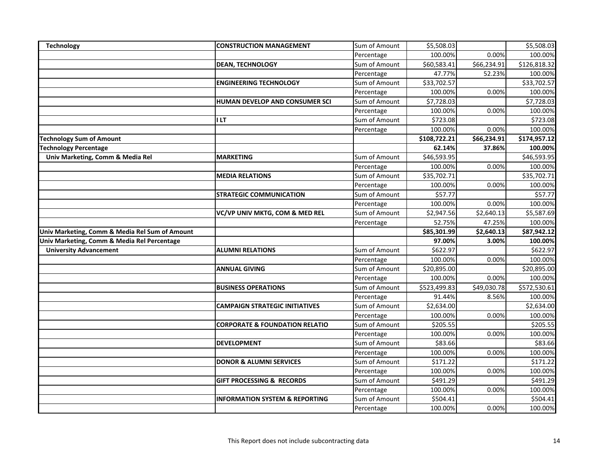| Technology                                     | <b>CONSTRUCTION MANAGEMENT</b>            | Sum of Amount | \$5,508.03          |             | \$5,508.03          |
|------------------------------------------------|-------------------------------------------|---------------|---------------------|-------------|---------------------|
|                                                |                                           | Percentage    | 100.00%             | 0.00%       | 100.00%             |
|                                                | <b>DEAN, TECHNOLOGY</b>                   | Sum of Amount | \$60,583.41         | \$66,234.91 | \$126,818.32        |
|                                                |                                           | Percentage    | 47.77%              | 52.23%      | 100.00%             |
|                                                | <b>ENGINEERING TECHNOLOGY</b>             | Sum of Amount | \$33,702.57         |             | \$33,702.57         |
|                                                |                                           | Percentage    | 100.00%             | 0.00%       | 100.00%             |
|                                                | HUMAN DEVELOP AND CONSUMER SCI            | Sum of Amount | \$7,728.03          |             | \$7,728.03          |
|                                                |                                           | Percentage    | 100.00%             | 0.00%       | 100.00%             |
|                                                | <b>ILT</b>                                | Sum of Amount | \$723.08            |             | \$723.08            |
|                                                |                                           | Percentage    | 100.00%             | 0.00%       | 100.00%             |
| <b>Technology Sum of Amount</b>                |                                           |               | \$108,722.21        | \$66,234.91 | \$174,957.12        |
| <b>Technology Percentage</b>                   |                                           |               | 62.14%              | 37.86%      | 100.00%             |
| Univ Marketing, Comm & Media Rel               | <b>MARKETING</b>                          | Sum of Amount | \$46,593.95         |             | \$46,593.95         |
|                                                |                                           | Percentage    | 100.00%             | 0.00%       | 100.00%             |
|                                                | <b>MEDIA RELATIONS</b>                    | Sum of Amount | \$35,702.71         |             | \$35,702.71         |
|                                                |                                           | Percentage    | 100.00%             | 0.00%       | 100.00%             |
|                                                | <b>STRATEGIC COMMUNICATION</b>            | Sum of Amount | \$57.77             |             | \$57.77             |
|                                                |                                           | Percentage    | 100.00%             | 0.00%       | 100.00%             |
|                                                | VC/VP UNIV MKTG, COM & MED REL            | Sum of Amount | \$2,947.56          | \$2,640.13  | \$5,587.69          |
|                                                |                                           | Percentage    | 52.75%              | 47.25%      | 100.00%             |
|                                                |                                           |               |                     |             |                     |
| Univ Marketing, Comm & Media Rel Sum of Amount |                                           |               | \$85,301.99         | \$2,640.13  | \$87,942.12         |
| Univ Marketing, Comm & Media Rel Percentage    |                                           |               | 97.00%              | 3.00%       | 100.00%             |
| <b>University Advancement</b>                  | <b>ALUMNI RELATIONS</b>                   | Sum of Amount | \$622.97            |             | \$622.97            |
|                                                |                                           | Percentage    | 100.00%             | 0.00%       | 100.00%             |
|                                                | <b>ANNUAL GIVING</b>                      | Sum of Amount | \$20,895.00         |             | \$20,895.00         |
|                                                |                                           | Percentage    | 100.00%             | 0.00%       | 100.00%             |
|                                                | <b>BUSINESS OPERATIONS</b>                | Sum of Amount | \$523,499.83        | \$49,030.78 | \$572,530.61        |
|                                                |                                           | Percentage    | 91.44%              | 8.56%       | 100.00%             |
|                                                | <b>CAMPAIGN STRATEGIC INITIATIVES</b>     | Sum of Amount | \$2,634.00          |             | \$2,634.00          |
|                                                |                                           | Percentage    | 100.00%             | 0.00%       | 100.00%             |
|                                                | <b>CORPORATE &amp; FOUNDATION RELATIO</b> | Sum of Amount | \$205.55            |             | \$205.55            |
|                                                |                                           | Percentage    | 100.00%             | 0.00%       | 100.00%             |
|                                                | <b>DEVELOPMENT</b>                        | Sum of Amount | \$83.66             |             | \$83.66             |
|                                                |                                           | Percentage    | 100.00%             | 0.00%       | 100.00%             |
|                                                | <b>DONOR &amp; ALUMNI SERVICES</b>        | Sum of Amount | \$171.22            |             | \$171.22            |
|                                                |                                           | Percentage    | 100.00%             | 0.00%       | 100.00%             |
|                                                | <b>GIFT PROCESSING &amp; RECORDS</b>      | Sum of Amount | \$491.29            |             | \$491.29            |
|                                                |                                           | Percentage    | 100.00%             | 0.00%       | 100.00%             |
|                                                | <b>INFORMATION SYSTEM &amp; REPORTING</b> | Sum of Amount | \$504.41<br>100.00% |             | \$504.41<br>100.00% |